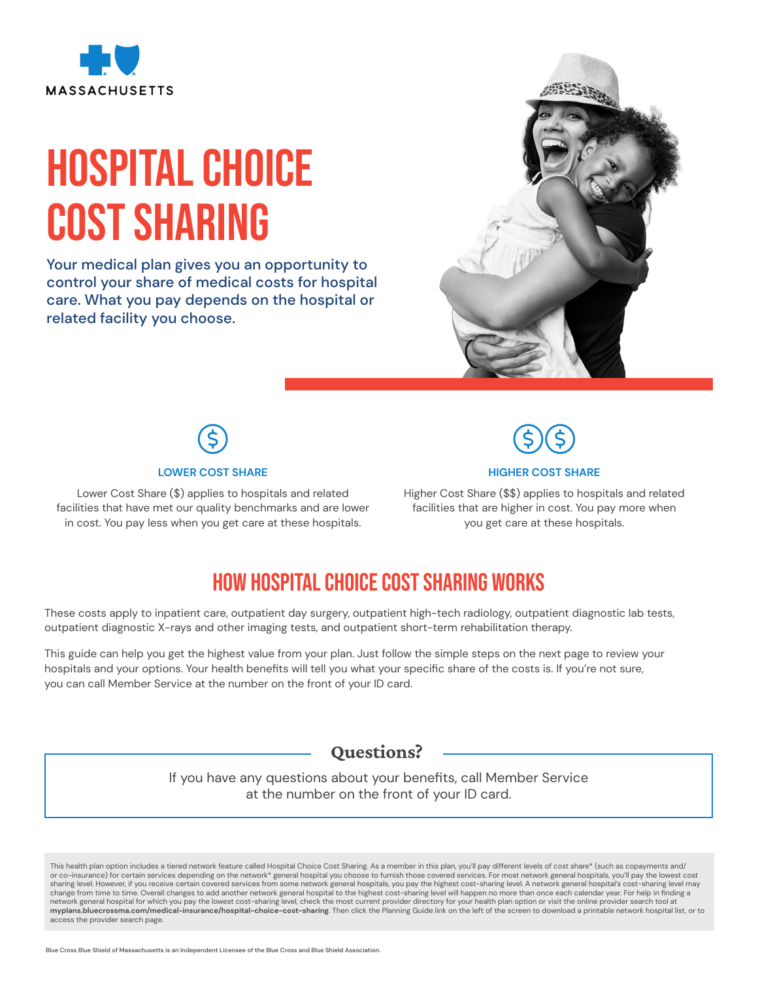

# Hospital Choice COST SHARING

Your medical plan gives you an opportunity to control your share of medical costs for hospital care. What you pay depends on the hospital or related facility you choose.





Lower Cost Share (\$) applies to hospitals and related facilities that have met our quality benchmarks and are lower in cost. You pay less when you get care at these hospitals.



#### **HIGHER COST SHARE**

Higher Cost Share (\$\$) applies to hospitals and related facilities that are higher in cost. You pay more when you get care at these hospitals.

## How Hospital Choice Cost Sharing works

These costs apply to inpatient care, outpatient day surgery, outpatient high-tech radiology, outpatient diagnostic lab tests, outpatient diagnostic X-rays and other imaging tests, and outpatient short-term rehabilitation therapy.

This guide can help you get the highest value from your plan. Just follow the simple steps on the next page to review your hospitals and your options. Your health benefits will tell you what your specific share of the costs is. If you're not sure, you can call Member Service at the number on the front of your ID card.

Questions?

If you have any questions about your benefits, call Member Service at the number on the front of your ID card.

This health plan option includes a tiered network feature called Hospital Choice Cost Sharing. As a member in this plan, you'll pay different levels of cost share\* (such as copayments and/ or co-insurance) for certain services depending on the network\* general hospital you choose to furnish those covered services. For most network general hospitals, you'll pay the lowest cost sharing level. However, if you receive certain covered services from some network general hospitals, you pay the highest cost-sharing level. A network general hospital's cost-sharing level may change from time to time. Overall changes to add another network general hospital to the highest cost-sharing level will happen no more than once each calendar year. For help in finding a network general hospital for which you pay the lowest cost-sharing level, check the most current provider directory for your health plan option or visit the online provider search tool at **myplans.bluecrossma.com/medical-insurance/hospital-choice-cost-sharing**. Then click the Planning Guide link on the left of the screen to download a printable network hospital list, or to access the provider search page.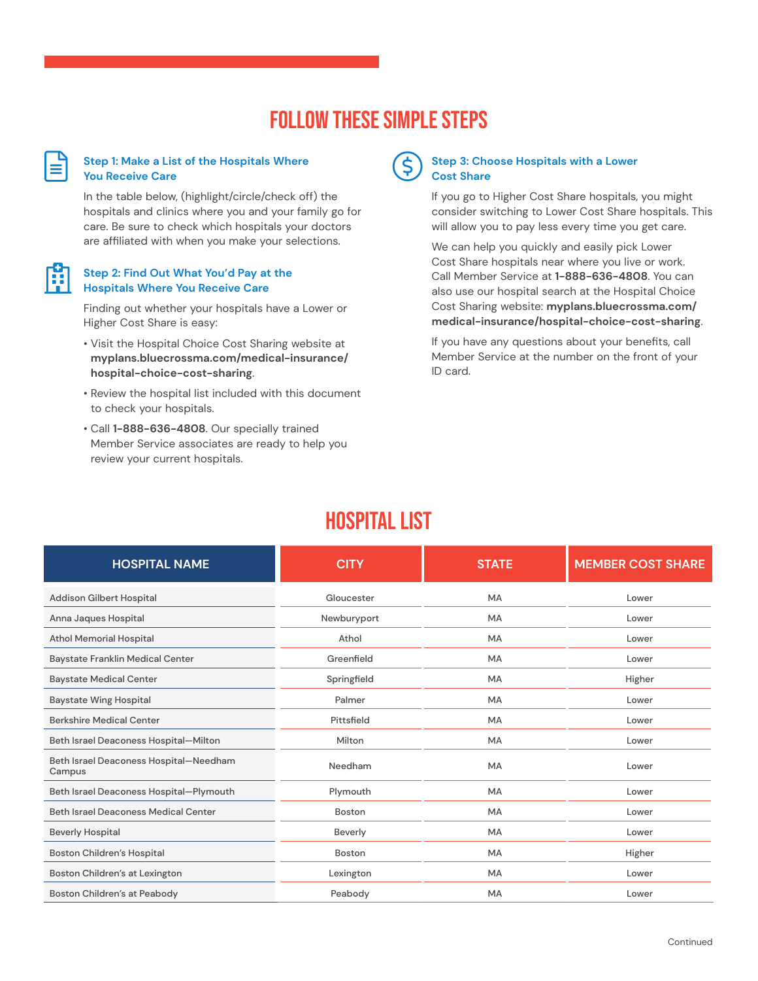## Follow these simple steps

#### **Step 1: Make a List of the Hospitals Where You Receive Care**

 $\bm{\boxplus}$ 

Ĥ

In the table below, (highlight/circle/check off) the hospitals and clinics where you and your family go for care. Be sure to check which hospitals your doctors are affiliated with when you make your selections.

### **Step 2: Find Out What You'd Pay at the Hospitals Where You Receive Care**

Finding out whether your hospitals have a Lower or Higher Cost Share is easy:

- Visit the Hospital Choice Cost Sharing website at **myplans.bluecrossma.com/medical-insurance/ hospital-choice-cost-sharing**.
- Review the hospital list included with this document to check your hospitals.
- Call **1-888-636-4808**. Our specially trained Member Service associates are ready to help you review your current hospitals.



#### **Step 3: Choose Hospitals with a Lower Cost Share**

If you go to Higher Cost Share hospitals, you might consider switching to Lower Cost Share hospitals. This will allow you to pay less every time you get care.

We can help you quickly and easily pick Lower Cost Share hospitals near where you live or work. Call Member Service at **1-888-636-4808**. You can also use our hospital search at the Hospital Choice Cost Sharing website: **myplans.bluecrossma.com/ medical-insurance/hospital-choice-cost-sharing**.

If you have any questions about your benefits, call Member Service at the number on the front of your ID card.

## HOSPITAL LIST

| <b>HOSPITAL NAME</b>                             | <b>CITY</b> | <b>STATE</b> | <b>MEMBER COST SHARE</b> |
|--------------------------------------------------|-------------|--------------|--------------------------|
| Addison Gilbert Hospital                         | Gloucester  | <b>MA</b>    | Lower                    |
| Anna Jaques Hospital                             | Newburyport | MA           | Lower                    |
| <b>Athol Memorial Hospital</b>                   | Athol       | <b>MA</b>    | Lower                    |
| Baystate Franklin Medical Center                 | Greenfield  | MA           | Lower                    |
| <b>Baystate Medical Center</b>                   | Springfield | <b>MA</b>    | Higher                   |
| <b>Baystate Wing Hospital</b>                    | Palmer      | <b>MA</b>    | Lower                    |
| <b>Berkshire Medical Center</b>                  | Pittsfield  | <b>MA</b>    | Lower                    |
| Beth Israel Deaconess Hospital-Milton            | Milton      | <b>MA</b>    | Lower                    |
| Beth Israel Deaconess Hospital-Needham<br>Campus | Needham     | <b>MA</b>    | Lower                    |
| Beth Israel Deaconess Hospital-Plymouth          | Plymouth    | <b>MA</b>    | Lower                    |
| Beth Israel Deaconess Medical Center             | Boston      | <b>MA</b>    | Lower                    |
| <b>Beverly Hospital</b>                          | Beverly     | MA           | Lower                    |
| <b>Boston Children's Hospital</b>                | Boston      | <b>MA</b>    | Higher                   |
| Boston Children's at Lexington                   | Lexington   | <b>MA</b>    | Lower                    |
| Boston Children's at Peabody                     | Peabody     | <b>MA</b>    | Lower                    |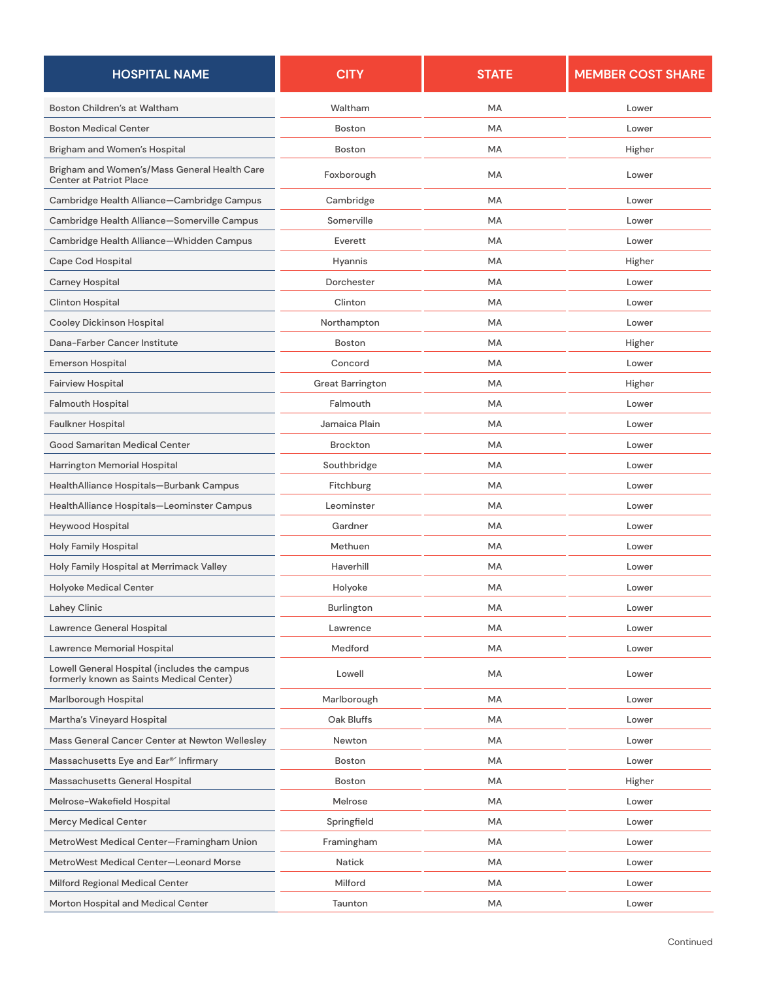| <b>HOSPITAL NAME</b>                                                                     | <b>CITY</b>             | <b>STATE</b> | <b>MEMBER COST SHARE</b> |
|------------------------------------------------------------------------------------------|-------------------------|--------------|--------------------------|
| Boston Children's at Waltham                                                             | Waltham                 | MA           | Lower                    |
| <b>Boston Medical Center</b>                                                             | Boston                  | <b>MA</b>    | Lower                    |
| Brigham and Women's Hospital                                                             | Boston                  | <b>MA</b>    | Higher                   |
| Brigham and Women's/Mass General Health Care<br><b>Center at Patriot Place</b>           | Foxborough              | MA           | Lower                    |
| Cambridge Health Alliance-Cambridge Campus                                               | Cambridge               | MA           | Lower                    |
| Cambridge Health Alliance-Somerville Campus                                              | Somerville              | MA           | Lower                    |
| Cambridge Health Alliance-Whidden Campus                                                 | Everett                 | MA           | Lower                    |
| Cape Cod Hospital                                                                        | Hyannis                 | MA           | Higher                   |
| Carney Hospital                                                                          | Dorchester              | MA           | Lower                    |
| <b>Clinton Hospital</b>                                                                  | Clinton                 | MA           | Lower                    |
| <b>Cooley Dickinson Hospital</b>                                                         | Northampton             | MA           | Lower                    |
| Dana-Farber Cancer Institute                                                             | Boston                  | MA           | Higher                   |
| <b>Emerson Hospital</b>                                                                  | Concord                 | <b>MA</b>    | Lower                    |
| <b>Fairview Hospital</b>                                                                 | <b>Great Barrington</b> | MA           | Higher                   |
| <b>Falmouth Hospital</b>                                                                 | Falmouth                | MA           | Lower                    |
| Faulkner Hospital                                                                        | Jamaica Plain           | MA           | Lower                    |
| Good Samaritan Medical Center                                                            | Brockton                | MA           | Lower                    |
| Harrington Memorial Hospital                                                             | Southbridge             | MA           | Lower                    |
| HealthAlliance Hospitals-Burbank Campus                                                  | Fitchburg               | <b>MA</b>    | Lower                    |
| HealthAlliance Hospitals-Leominster Campus                                               | Leominster              | <b>MA</b>    | Lower                    |
| Heywood Hospital                                                                         | Gardner                 | <b>MA</b>    | Lower                    |
| <b>Holy Family Hospital</b>                                                              | Methuen                 | <b>MA</b>    | Lower                    |
| Holy Family Hospital at Merrimack Valley                                                 | Haverhill               | <b>MA</b>    | Lower                    |
| <b>Holyoke Medical Center</b>                                                            | Holyoke                 | MA           | Lower                    |
| Lahey Clinic                                                                             | Burlington              | MA           | Lower                    |
| Lawrence General Hospital                                                                | Lawrence                | MA           | Lower                    |
| Lawrence Memorial Hospital                                                               | Medford                 | MA           | Lower                    |
| Lowell General Hospital (includes the campus<br>formerly known as Saints Medical Center) | Lowell                  | MA           | Lower                    |
| Marlborough Hospital                                                                     | Marlborough             | MA           | Lower                    |
| Martha's Vineyard Hospital                                                               | Oak Bluffs              | MA           | Lower                    |
| Mass General Cancer Center at Newton Wellesley                                           | Newton                  | MA           | Lower                    |
| Massachusetts Eye and Ear® Infirmary                                                     | Boston                  | MA           | Lower                    |
| Massachusetts General Hospital                                                           | Boston                  | MA           | Higher                   |
| Melrose-Wakefield Hospital                                                               | Melrose                 | MA           | Lower                    |
| Mercy Medical Center                                                                     | Springfield             | MA           | Lower                    |
| MetroWest Medical Center-Framingham Union                                                | Framingham              | MA           | Lower                    |
| MetroWest Medical Center-Leonard Morse                                                   | Natick                  | MA           | Lower                    |
| Milford Regional Medical Center                                                          | Milford                 | MA           | Lower                    |
| Morton Hospital and Medical Center                                                       | Taunton                 | MA           | Lower                    |